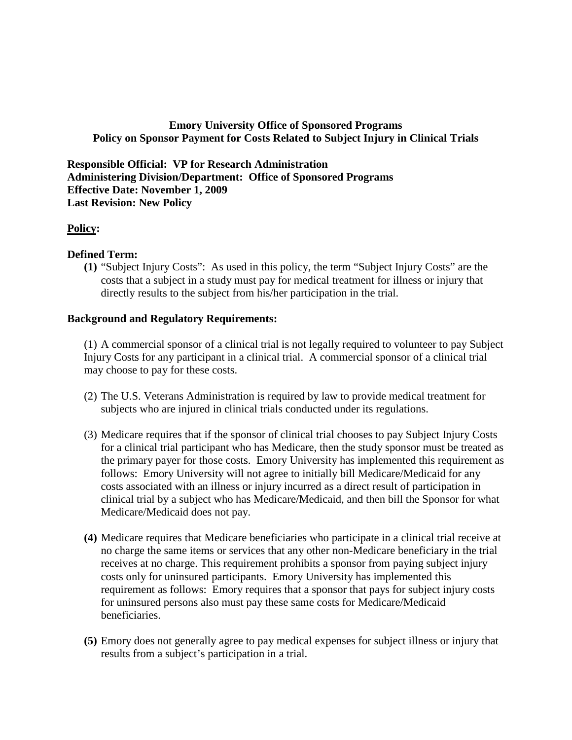# **Emory University Office of Sponsored Programs Policy on Sponsor Payment for Costs Related to Subject Injury in Clinical Trials**

**Responsible Official: VP for Research Administration Administering Division/Department: Office of Sponsored Programs Effective Date: November 1, 2009 Last Revision: New Policy**

### **Policy:**

### **Defined Term:**

**(1)** "Subject Injury Costs": As used in this policy, the term "Subject Injury Costs" are the costs that a subject in a study must pay for medical treatment for illness or injury that directly results to the subject from his/her participation in the trial.

### **Background and Regulatory Requirements:**

(1) A commercial sponsor of a clinical trial is not legally required to volunteer to pay Subject Injury Costs for any participant in a clinical trial. A commercial sponsor of a clinical trial may choose to pay for these costs.

- (2) The U.S. Veterans Administration is required by law to provide medical treatment for subjects who are injured in clinical trials conducted under its regulations.
- (3) Medicare requires that if the sponsor of clinical trial chooses to pay Subject Injury Costs for a clinical trial participant who has Medicare, then the study sponsor must be treated as the primary payer for those costs. Emory University has implemented this requirement as follows: Emory University will not agree to initially bill Medicare/Medicaid for any costs associated with an illness or injury incurred as a direct result of participation in clinical trial by a subject who has Medicare/Medicaid, and then bill the Sponsor for what Medicare/Medicaid does not pay.
- **(4)** Medicare requires that Medicare beneficiaries who participate in a clinical trial receive at no charge the same items or services that any other non-Medicare beneficiary in the trial receives at no charge. This requirement prohibits a sponsor from paying subject injury costs only for uninsured participants. Emory University has implemented this requirement as follows: Emory requires that a sponsor that pays for subject injury costs for uninsured persons also must pay these same costs for Medicare/Medicaid beneficiaries.
- **(5)** Emory does not generally agree to pay medical expenses for subject illness or injury that results from a subject's participation in a trial.